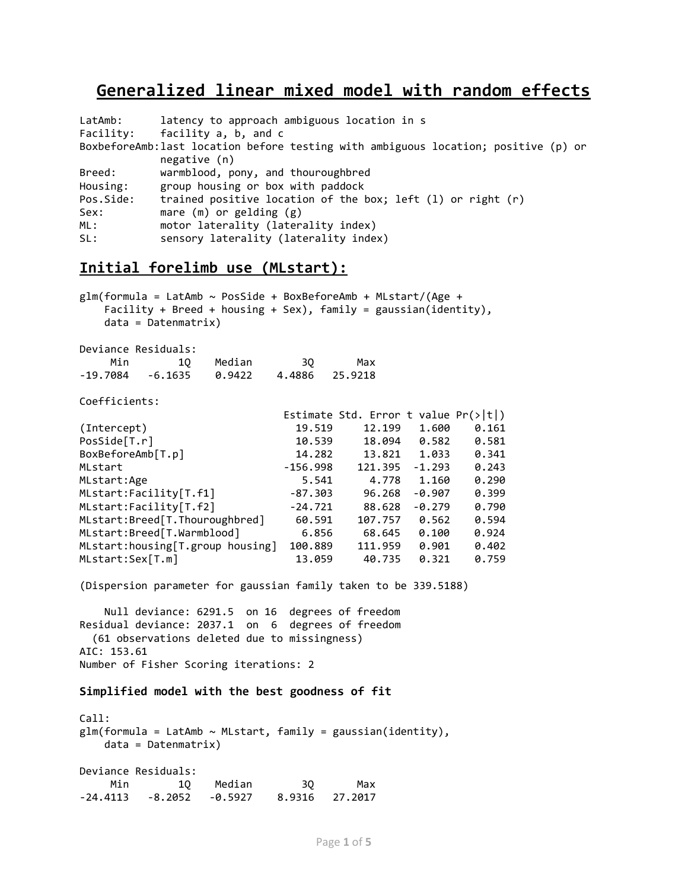# **Generalized linear mixed model with random effects**

| LatAmb:   | latency to approach ambiguous location in s                                                        |  |  |  |  |
|-----------|----------------------------------------------------------------------------------------------------|--|--|--|--|
| Facility: | facility a, b, and c                                                                               |  |  |  |  |
|           | BoxbeforeAmb:last location before testing with ambiguous location; positive (p) or<br>negative (n) |  |  |  |  |
| Breed:    | warmblood, pony, and thouroughbred                                                                 |  |  |  |  |
| Housing:  | group housing or box with paddock                                                                  |  |  |  |  |
| Pos.Side: | trained positive location of the box; left $(1)$ or right $(r)$                                    |  |  |  |  |
| Sex:      | mare $(m)$ or gelding $(g)$                                                                        |  |  |  |  |
| ML:       | motor laterality (laterality index)                                                                |  |  |  |  |
| SL:       | sensory laterality (laterality index)                                                              |  |  |  |  |

# **Initial forelimb use (MLstart):**

 $glm(formula = LatAmb ~ Posside + BoxBeforeAmb + MLstart/(Age +$  Facility + Breed + housing + Sex), family = gaussian(identity), data = Datenmatrix)

Deviance Residuals:

|     | -------------------                            |           |      |     |
|-----|------------------------------------------------|-----------|------|-----|
| Min |                                                | 10 Median | - 30 | Max |
|     | $-19.7084$ $-6.1635$ $0.9422$ $4.4886$ 25.9218 |           |      |     |

Coefficients:

|                                  |            | Estimate Std. Error t value $Pr(> t )$ |          |       |
|----------------------------------|------------|----------------------------------------|----------|-------|
| (Intercept)                      | 19.519     | 12.199                                 | 1.600    | 0.161 |
| PosSide[T.r]                     | 10.539     | 18.094                                 | 0.582    | 0.581 |
| BoxBeforeAmb[T.p]                | 14.282     | 13.821                                 | 1.033    | 0.341 |
| MLstart                          | $-156.998$ | 121.395                                | $-1.293$ | 0.243 |
| MLstart:Age                      | 5.541      | 4.778                                  | 1.160    | 0.290 |
| MLstart:Facility[T.f1]           | $-87.303$  | 96.268                                 | $-0.907$ | 0.399 |
| MLstart:Facility[T.f2]           | $-24.721$  | 88.628                                 | $-0.279$ | 0.790 |
| MLstart:Breed[T.Thouroughbred]   | 60.591     | 107.757                                | 0.562    | 0.594 |
| MLstart:Breed[T.Warmblood]       | 6.856      | 68.645                                 | 0.100    | 0.924 |
| MLstart:housing[T.group housing] | 100.889    | 111.959                                | 0.901    | 0.402 |
| MLstart:Sex[T.m]                 | 13.059     | 40.735                                 | 0.321    | 0.759 |

(Dispersion parameter for gaussian family taken to be 339.5188)

 Null deviance: 6291.5 on 16 degrees of freedom Residual deviance: 2037.1 on 6 degrees of freedom (61 observations deleted due to missingness) AIC: 153.61 Number of Fisher Scoring iterations: 2

#### **Simplified model with the best goodness of fit**

Call:  $glm(formula = LatAmb ~ MLstart, family = gaussian(identity),$  data = Datenmatrix) Deviance Residuals: Min 1Q Median 3Q Max -24.4113 -8.2052 -0.5927 8.9316 27.2017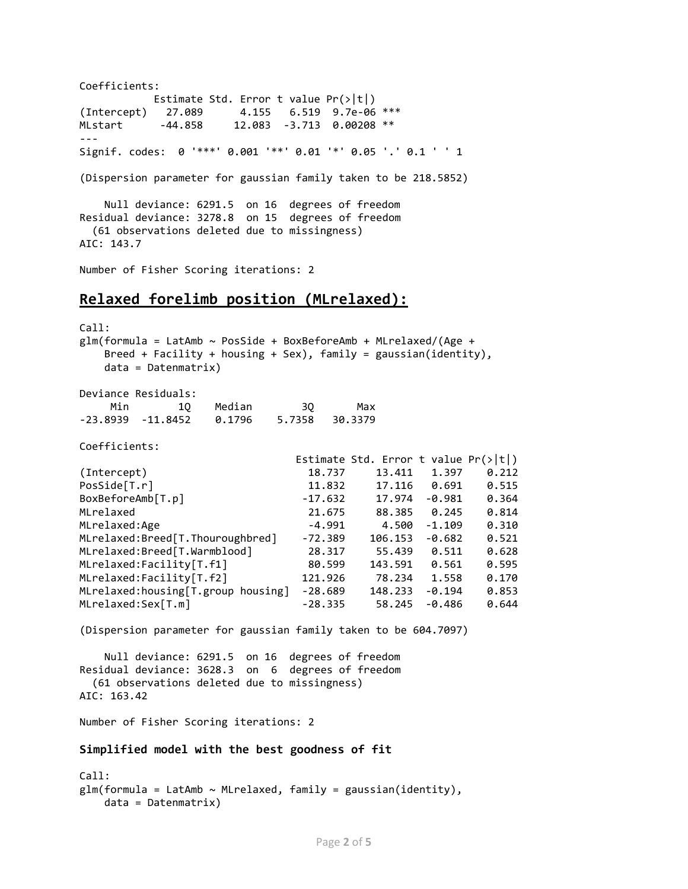Coefficients: Estimate Std. Error t value Pr(>|t|) (Intercept) 27.089 4.155 6.519 9.7e-06 \*\*\* MLstart -44.858 12.083 -3.713 0.00208 \*\* --- Signif. codes: 0 '\*\*\*' 0.001 '\*\*' 0.01 '\*' 0.05 '.' 0.1 ' ' 1 (Dispersion parameter for gaussian family taken to be 218.5852) Null deviance: 6291.5 on 16 degrees of freedom Residual deviance: 3278.8 on 15 degrees of freedom (61 observations deleted due to missingness) AIC: 143.7 Number of Fisher Scoring iterations: 2 **Relaxed forelimb position (MLrelaxed):** Call:  $glm(formula = LatAmb ~ ~ PosSide + BoxBeforeAmb + MLrelaxed/(Age +$ Breed + Facility + housing + Sex), family = gaussian(identity), data = Datenmatrix) Deviance Residuals: Min 1Q Median 3Q Max -23.8939 -11.8452 0.1796 5.7358 30.3379 Coefficients: Estimate Std. Error t value  $Pr(>|t|)$ (Intercept) 18.737 13.411 1.397 0.212 PosSide[T.r] 11.832 17.116 0.691 0.515 BoxBeforeAmb[T.p] -17.632 17.974 -0.981 0.364 MLrelaxed 21.675 88.385 0.245 0.814 MLrelaxed:Age -4.991 4.500 -1.109 0.310 MLrelaxed:Breed[T.Thouroughbred] -72.389 106.153 -0.682 0.521 MLrelaxed:Breed[T.Warmblood] 28.317 55.439 0.511 0.628 MLrelaxed:Facility[T.f1] 80.599 143.591 0.561 0.595 MLrelaxed:Facility[T.f2] 121.926 78.234 1.558 0.170 MLrelaxed:housing[T.group housing] -28.689 148.233 -0.194 0.853 MLrelaxed:Sex[T.m] -28.335 58.245 -0.486 0.644 (Dispersion parameter for gaussian family taken to be 604.7097) Null deviance: 6291.5 on 16 degrees of freedom Residual deviance: 3628.3 on 6 degrees of freedom (61 observations deleted due to missingness) AIC: 163.42 Number of Fisher Scoring iterations: 2 **Simplified model with the best goodness of fit** Call:  $glm(formula = LatAmb ~ MLrelaxed, family = gaussian(identity),$ data = Datenmatrix)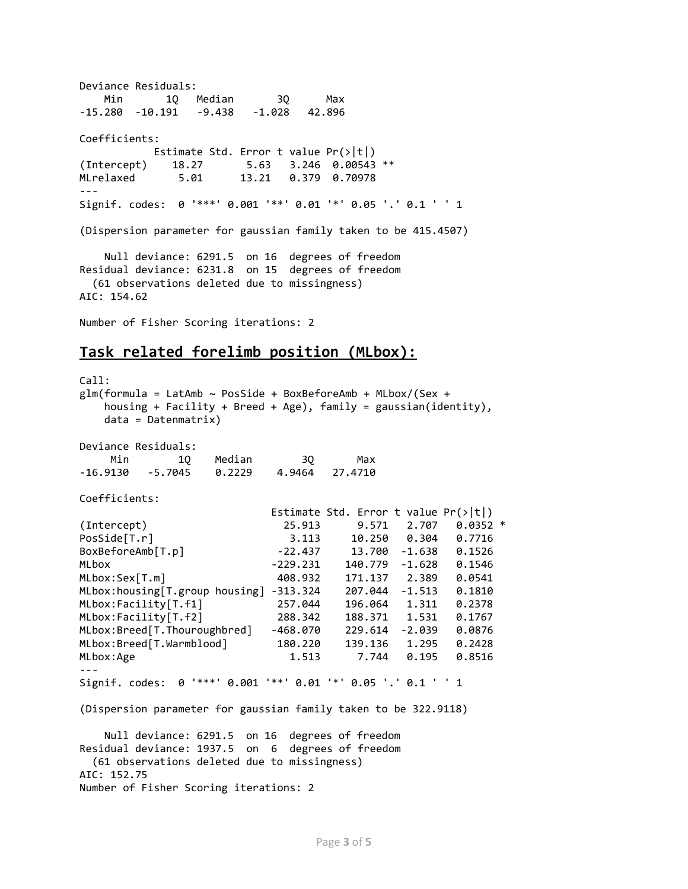Deviance Residuals: Min 1Q Median 3Q Max -15.280 -10.191 -9.438 -1.028 42.896 Coefficients: Estimate Std. Error t value Pr(>|t|) (Intercept) 18.27 5.63 3.246 0.00543 \*\* MLrelaxed 5.01 13.21 0.379 0.70978 --- Signif. codes: 0 '\*\*\*' 0.001 '\*\*' 0.01 '\*' 0.05 '.' 0.1 ' ' 1 (Dispersion parameter for gaussian family taken to be 415.4507) Null deviance: 6291.5 on 16 degrees of freedom Residual deviance: 6231.8 on 15 degrees of freedom (61 observations deleted due to missingness) AIC: 154.62 Number of Fisher Scoring iterations: 2

## **Task related forelimb position (MLbox):**

 $C$ all:  $glm(formula = LatAmb ~ ~ PosSide + BoxBeforeAmb + MLbox/(Sex +$  housing + Facility + Breed + Age), family = gaussian(identity), data = Datenmatrix) Deviance Residuals: Min 1Q Median 3Q Max -16.9130 -5.7045 0.2229 4.9464 27.4710 Coefficients: Estimate Std. Error t value  $Pr(\rightarrow |t|)$ (Intercept) 25.913 9.571 2.707 0.0352 \* PosSide[T.r] 3.113 10.250 0.304 0.7716 BoxBeforeAmb[T.p] -22.437 13.700 -1.638 0.1526 MLbox -229.231 140.779 -1.628 0.1546 MLbox:Sex[T.m] 408.932 171.137 2.389 0.0541 MLbox:housing[T.group housing] -313.324 207.044 -1.513 0.1810 MLbox:Facility[T.f1] 257.044 196.064 1.311 0.2378 MLbox:Facility[T.f2] 288.342 188.371 1.531 0.1767 MLbox:Breed[T.Thouroughbred] -468.070 229.614 -2.039 0.0876 MLbox:Breed[T.Warmblood] 180.220 139.136 1.295 0.2428 MLbox:Age 1.513 7.744 0.195 --- Signif. codes: 0 '\*\*\*' 0.001 '\*\*' 0.01 '\*' 0.05 '.' 0.1 ' ' 1 (Dispersion parameter for gaussian family taken to be 322.9118) Null deviance: 6291.5 on 16 degrees of freedom Residual deviance: 1937.5 on 6 degrees of freedom (61 observations deleted due to missingness) AIC: 152.75 Number of Fisher Scoring iterations: 2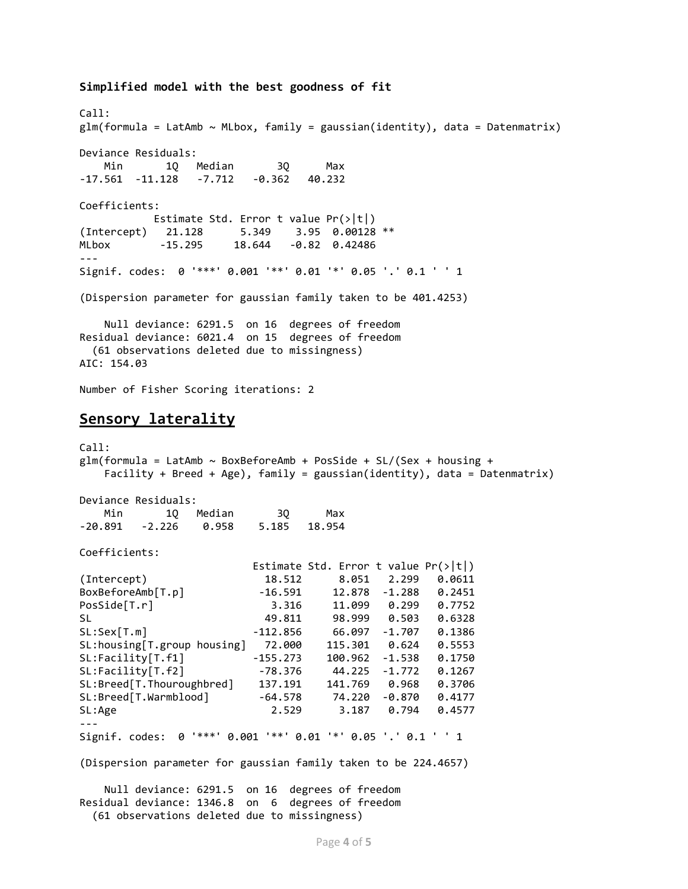Call:  $glm(formula = LatAmb ~ MLbox, family = gaussian(identity), data = Datenmatrix)$ Deviance Residuals: Min 1Q Median 3Q Max -17.561 -11.128 -7.712 -0.362 40.232 Coefficients: Estimate Std. Error t value Pr(>|t|) (Intercept) 21.128 5.349 3.95 0.00128 \*\* MLbox -15.295 18.644 -0.82 0.42486 --- Signif. codes: 0 '\*\*\*' 0.001 '\*\*' 0.01 '\*' 0.05 '.' 0.1 ' ' 1 (Dispersion parameter for gaussian family taken to be 401.4253) Null deviance: 6291.5 on 16 degrees of freedom Residual deviance: 6021.4 on 15 degrees of freedom (61 observations deleted due to missingness) AIC: 154.03

Number of Fisher Scoring iterations: 2

**Simplified model with the best goodness of fit**

### **Sensory laterality**

Call:  $glm(formula = LatAmb ~ BoxBeforeAmb + PosSide + SL/(Sex + housing +$  Facility + Breed + Age), family = gaussian(identity), data = Datenmatrix) Deviance Residuals: Min 1Q Median 3Q Max -20.891 -2.226 0.958 5.185 18.954 Coefficients: Estimate Std. Error t value Pr(>|t|) (Intercept) 18.512 8.051 2.299 0.0611 BoxBeforeAmb[T.p] -16.591 12.878 -1.288 0.2451 PosSide[T.r] 3.316 11.099 0.299 0.7752 SL 49.811 98.999 0.503 0.6328 SL:Sex[T.m] -112.856 66.097 -1.707 0.1386<br>SL:housing[T.group housing] 72.000 115.301 0.624 0.5553 SL:housing[T.group housing] 72.000 115.301 0.624 0.5553 SL:Facility[T.f1] -155.273 100.962 -1.538 0.1750 SL:Facility[T.f2] -78.376 44.225 -1.772 0.1267 SL:Breed[T.Thouroughbred] 137.191 141.769 0.968 0.3706 SL:Breed[T.Warmblood] -64.578 74.220 -0.870 0.4177 SL:Age 2.529 3.187 0.794 0.4577 --- Signif. codes: 0 '\*\*\*' 0.001 '\*\*' 0.01 '\*' 0.05 '.' 0.1 ' ' 1 (Dispersion parameter for gaussian family taken to be 224.4657)

 Null deviance: 6291.5 on 16 degrees of freedom Residual deviance: 1346.8 on 6 degrees of freedom

(61 observations deleted due to missingness)